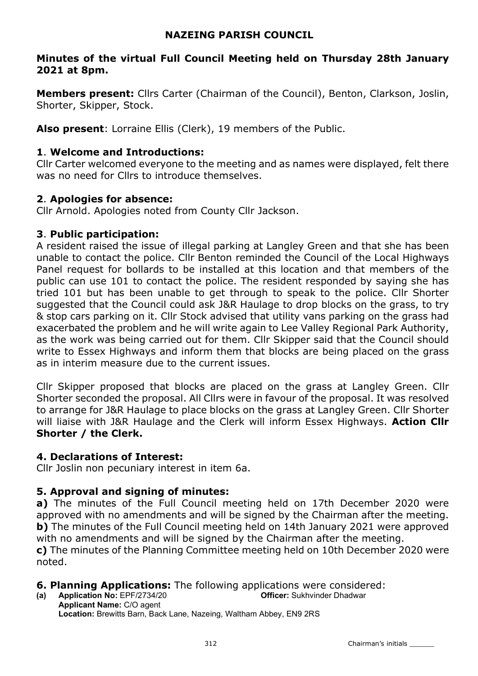# NAZEING PARISH COUNCIL

# Minutes of the virtual Full Council Meeting held on Thursday 28th January 2021 at 8pm.

**Members present:** Cllrs Carter (Chairman of the Council), Benton, Clarkson, Joslin, Shorter, Skipper, Stock.

Also present: Lorraine Ellis (Clerk), 19 members of the Public.

# 1. Welcome and Introductions:

Cllr Carter welcomed everyone to the meeting and as names were displayed, felt there was no need for Cllrs to introduce themselves.

# 2. Apologies for absence:

Cllr Arnold. Apologies noted from County Cllr Jackson.

# 3. Public participation:

A resident raised the issue of illegal parking at Langley Green and that she has been unable to contact the police. Cllr Benton reminded the Council of the Local Highways Panel request for bollards to be installed at this location and that members of the public can use 101 to contact the police. The resident responded by saying she has tried 101 but has been unable to get through to speak to the police. Cllr Shorter suggested that the Council could ask J&R Haulage to drop blocks on the grass, to try & stop cars parking on it. Cllr Stock advised that utility vans parking on the grass had exacerbated the problem and he will write again to Lee Valley Regional Park Authority, as the work was being carried out for them. Cllr Skipper said that the Council should write to Essex Highways and inform them that blocks are being placed on the grass as in interim measure due to the current issues.

Cllr Skipper proposed that blocks are placed on the grass at Langley Green. Cllr Shorter seconded the proposal. All Cllrs were in favour of the proposal. It was resolved to arrange for J&R Haulage to place blocks on the grass at Langley Green. Cllr Shorter will liaise with J&R Haulage and the Clerk will inform Essex Highways. Action Cllr Shorter / the Clerk.

# 4. Declarations of Interest:

Cllr Joslin non pecuniary interest in item 6a.

# 5. Approval and signing of minutes:

a) The minutes of the Full Council meeting held on 17th December 2020 were approved with no amendments and will be signed by the Chairman after the meeting. **b)** The minutes of the Full Council meeting held on 14th January 2021 were approved with no amendments and will be signed by the Chairman after the meeting. c) The minutes of the Planning Committee meeting held on 10th December 2020 were noted.

# **6. Planning Applications:** The following applications were considered:<br>(a) Application No: FPF/2734/20

(a) Application No:  $EPF/2734/20$ Applicant Name: C/O agent Location: Brewitts Barn, Back Lane, Nazeing, Waltham Abbey, EN9 2RS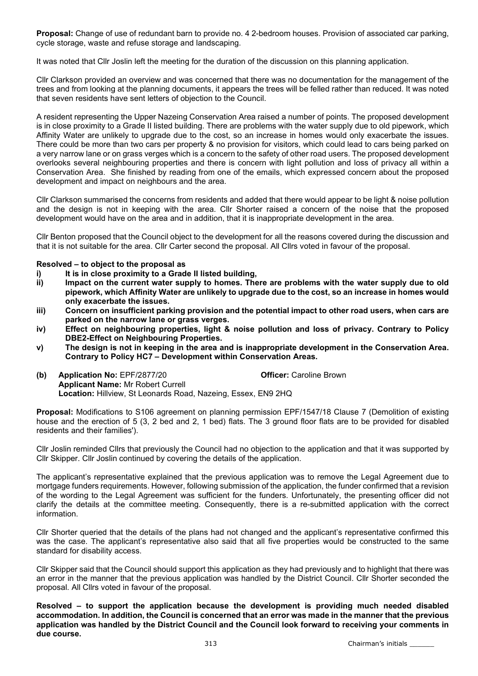Proposal: Change of use of redundant barn to provide no. 4 2-bedroom houses. Provision of associated car parking, cycle storage, waste and refuse storage and landscaping.

It was noted that Cllr Joslin left the meeting for the duration of the discussion on this planning application.

Cllr Clarkson provided an overview and was concerned that there was no documentation for the management of the trees and from looking at the planning documents, it appears the trees will be felled rather than reduced. It was noted that seven residents have sent letters of objection to the Council.

A resident representing the Upper Nazeing Conservation Area raised a number of points. The proposed development is in close proximity to a Grade II listed building. There are problems with the water supply due to old pipework, which Affinity Water are unlikely to upgrade due to the cost, so an increase in homes would only exacerbate the issues. There could be more than two cars per property & no provision for visitors, which could lead to cars being parked on a very narrow lane or on grass verges which is a concern to the safety of other road users. The proposed development overlooks several neighbouring properties and there is concern with light pollution and loss of privacy all within a Conservation Area. She finished by reading from one of the emails, which expressed concern about the proposed development and impact on neighbours and the area.

Cllr Clarkson summarised the concerns from residents and added that there would appear to be light & noise pollution and the design is not in keeping with the area. Cllr Shorter raised a concern of the noise that the proposed development would have on the area and in addition, that it is inappropriate development in the area.

Cllr Benton proposed that the Council object to the development for all the reasons covered during the discussion and that it is not suitable for the area. Cllr Carter second the proposal. All Cllrs voted in favour of the proposal.

#### Resolved – to object to the proposal as

- i) It is in close proximity to a Grade II listed building,
- ii) Impact on the current water supply to homes. There are problems with the water supply due to old pipework, which Affinity Water are unlikely to upgrade due to the cost, so an increase in homes would only exacerbate the issues.
- iii) Concern on insufficient parking provision and the potential impact to other road users, when cars are parked on the narrow lane or grass verges.
- iv) Effect on neighbouring properties, light & noise pollution and loss of privacy. Contrary to Policy DBE2-Effect on Neighbouring Properties.
- v) The design is not in keeping in the area and is inappropriate development in the Conservation Area. Contrary to Policy HC7 – Development within Conservation Areas.
- (b) Application No: EPF/2877/20 Officer: Caroline Brown Applicant Name: Mr Robert Currell Location: Hillview, St Leonards Road, Nazeing, Essex, EN9 2HQ

Proposal: Modifications to S106 agreement on planning permission EPF/1547/18 Clause 7 (Demolition of existing house and the erection of 5 (3, 2 bed and 2, 1 bed) flats. The 3 ground floor flats are to be provided for disabled residents and their families').

Cllr Joslin reminded Cllrs that previously the Council had no objection to the application and that it was supported by Cllr Skipper. Cllr Joslin continued by covering the details of the application.

The applicant's representative explained that the previous application was to remove the Legal Agreement due to mortgage funders requirements. However, following submission of the application, the funder confirmed that a revision of the wording to the Legal Agreement was sufficient for the funders. Unfortunately, the presenting officer did not clarify the details at the committee meeting. Consequently, there is a re-submitted application with the correct information.

Cllr Shorter queried that the details of the plans had not changed and the applicant's representative confirmed this was the case. The applicant's representative also said that all five properties would be constructed to the same standard for disability access.

Cllr Skipper said that the Council should support this application as they had previously and to highlight that there was an error in the manner that the previous application was handled by the District Council. Cllr Shorter seconded the proposal. All Cllrs voted in favour of the proposal.

Resolved – to support the application because the development is providing much needed disabled accommodation. In addition, the Council is concerned that an error was made in the manner that the previous application was handled by the District Council and the Council look forward to receiving your comments in due course.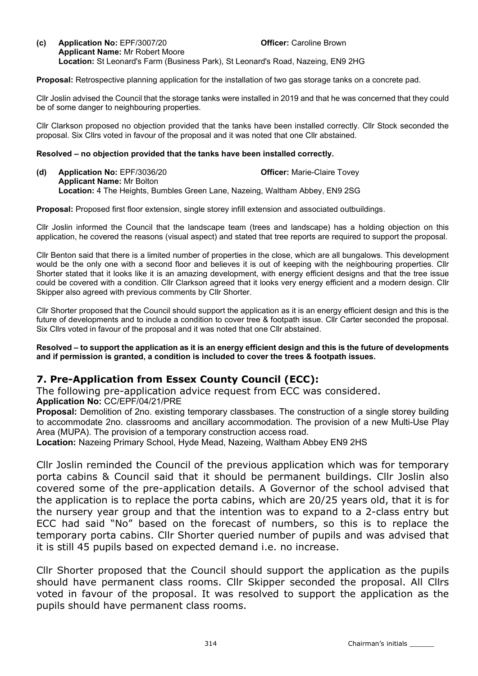#### (c) Application No: EPF/3007/20 Officer: Caroline Brown Applicant Name: Mr Robert Moore Location: St Leonard's Farm (Business Park), St Leonard's Road, Nazeing, EN9 2HG

Proposal: Retrospective planning application for the installation of two gas storage tanks on a concrete pad.

Cllr Joslin advised the Council that the storage tanks were installed in 2019 and that he was concerned that they could be of some danger to neighbouring properties.

Cllr Clarkson proposed no objection provided that the tanks have been installed correctly. Cllr Stock seconded the proposal. Six Cllrs voted in favour of the proposal and it was noted that one Cllr abstained.

#### Resolved – no objection provided that the tanks have been installed correctly.

(d) Application No: EPF/3036/20 **Officer:** Marie-Claire Tovey Applicant Name: Mr Bolton Location: 4 The Heights, Bumbles Green Lane, Nazeing, Waltham Abbey, EN9 2SG

Proposal: Proposed first floor extension, single storey infill extension and associated outbuildings.

Cllr Joslin informed the Council that the landscape team (trees and landscape) has a holding objection on this application, he covered the reasons (visual aspect) and stated that tree reports are required to support the proposal.

Cllr Benton said that there is a limited number of properties in the close, which are all bungalows. This development would be the only one with a second floor and believes it is out of keeping with the neighbouring properties. Cllr Shorter stated that it looks like it is an amazing development, with energy efficient designs and that the tree issue could be covered with a condition. Cllr Clarkson agreed that it looks very energy efficient and a modern design. Cllr Skipper also agreed with previous comments by Cllr Shorter.

Cllr Shorter proposed that the Council should support the application as it is an energy efficient design and this is the future of developments and to include a condition to cover tree & footpath issue. Cllr Carter seconded the proposal. Six Cllrs voted in favour of the proposal and it was noted that one Cllr abstained.

Resolved – to support the application as it is an energy efficient design and this is the future of developments and if permission is granted, a condition is included to cover the trees & footpath issues.

# 7. Pre-Application from Essex County Council (ECC):

The following pre-application advice request from ECC was considered. Application No: CC/EPF/04/21/PRE

Proposal: Demolition of 2no. existing temporary classbases. The construction of a single storey building to accommodate 2no. classrooms and ancillary accommodation. The provision of a new Multi-Use Play Area (MUPA). The provision of a temporary construction access road.

Location: Nazeing Primary School, Hyde Mead, Nazeing, Waltham Abbey EN9 2HS

Cllr Joslin reminded the Council of the previous application which was for temporary porta cabins & Council said that it should be permanent buildings. Cllr Joslin also covered some of the pre-application details. A Governor of the school advised that the application is to replace the porta cabins, which are 20/25 years old, that it is for the nursery year group and that the intention was to expand to a 2-class entry but ECC had said "No" based on the forecast of numbers, so this is to replace the temporary porta cabins. Cllr Shorter queried number of pupils and was advised that it is still 45 pupils based on expected demand i.e. no increase.

Cllr Shorter proposed that the Council should support the application as the pupils should have permanent class rooms. Cllr Skipper seconded the proposal. All Cllrs voted in favour of the proposal. It was resolved to support the application as the pupils should have permanent class rooms.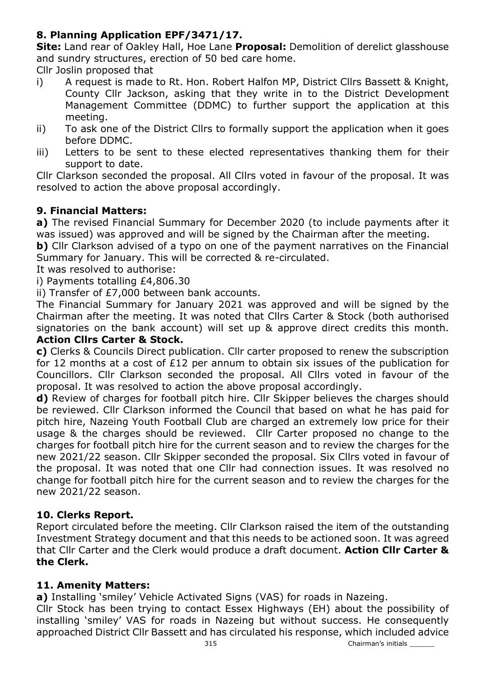# 8. Planning Application EPF/3471/17.

Site: Land rear of Oakley Hall, Hoe Lane Proposal: Demolition of derelict glasshouse and sundry structures, erection of 50 bed care home.

Cllr Joslin proposed that

- i) A request is made to Rt. Hon. Robert Halfon MP, District Cllrs Bassett & Knight, County Cllr Jackson, asking that they write in to the District Development Management Committee (DDMC) to further support the application at this meeting.
- ii) To ask one of the District Cllrs to formally support the application when it goes before DDMC.
- iii) Letters to be sent to these elected representatives thanking them for their support to date.

Cllr Clarkson seconded the proposal. All Cllrs voted in favour of the proposal. It was resolved to action the above proposal accordingly.

# 9. Financial Matters:

a) The revised Financial Summary for December 2020 (to include payments after it was issued) was approved and will be signed by the Chairman after the meeting.

b) Cllr Clarkson advised of a typo on one of the payment narratives on the Financial Summary for January. This will be corrected & re-circulated.

It was resolved to authorise:

i) Payments totalling £4,806.30

ii) Transfer of £7,000 between bank accounts.

The Financial Summary for January 2021 was approved and will be signed by the Chairman after the meeting. It was noted that Cllrs Carter & Stock (both authorised signatories on the bank account) will set up & approve direct credits this month. Action Cllrs Carter & Stock.

# c) Clerks & Councils Direct publication. Cllr carter proposed to renew the subscription for 12 months at a cost of £12 per annum to obtain six issues of the publication for Councillors. Cllr Clarkson seconded the proposal. All Cllrs voted in favour of the proposal. It was resolved to action the above proposal accordingly.

d) Review of charges for football pitch hire. Cllr Skipper believes the charges should be reviewed. Cllr Clarkson informed the Council that based on what he has paid for pitch hire, Nazeing Youth Football Club are charged an extremely low price for their usage & the charges should be reviewed. Cllr Carter proposed no change to the charges for football pitch hire for the current season and to review the charges for the new 2021/22 season. Cllr Skipper seconded the proposal. Six Cllrs voted in favour of the proposal. It was noted that one Cllr had connection issues. It was resolved no change for football pitch hire for the current season and to review the charges for the new 2021/22 season.

# 10. Clerks Report.

Report circulated before the meeting. Cllr Clarkson raised the item of the outstanding Investment Strategy document and that this needs to be actioned soon. It was agreed that Cllr Carter and the Clerk would produce a draft document. Action Cllr Carter & the Clerk.

# 11. Amenity Matters:

a) Installing 'smiley' Vehicle Activated Signs (VAS) for roads in Nazeing.

Cllr Stock has been trying to contact Essex Highways (EH) about the possibility of installing 'smiley' VAS for roads in Nazeing but without success. He consequently approached District Cllr Bassett and has circulated his response, which included advice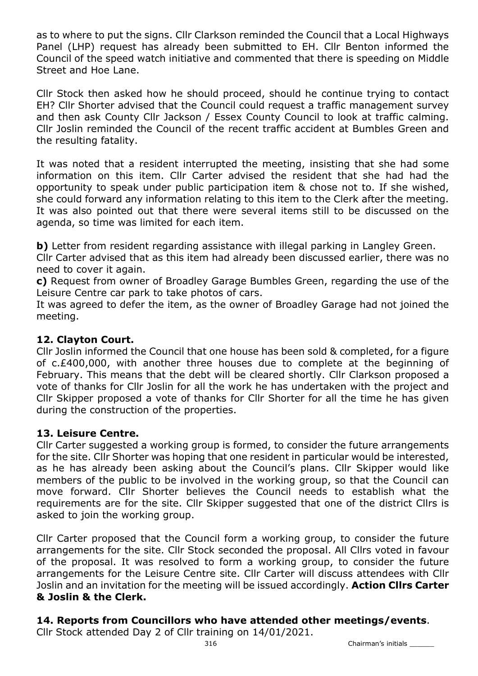as to where to put the signs. Cllr Clarkson reminded the Council that a Local Highways Panel (LHP) request has already been submitted to EH. Cllr Benton informed the Council of the speed watch initiative and commented that there is speeding on Middle Street and Hoe Lane.

Cllr Stock then asked how he should proceed, should he continue trying to contact EH? Cllr Shorter advised that the Council could request a traffic management survey and then ask County Cllr Jackson / Essex County Council to look at traffic calming. Cllr Joslin reminded the Council of the recent traffic accident at Bumbles Green and the resulting fatality.

It was noted that a resident interrupted the meeting, insisting that she had some information on this item. Cllr Carter advised the resident that she had had the opportunity to speak under public participation item & chose not to. If she wished, she could forward any information relating to this item to the Clerk after the meeting. It was also pointed out that there were several items still to be discussed on the agenda, so time was limited for each item.

b) Letter from resident regarding assistance with illegal parking in Langley Green.

Cllr Carter advised that as this item had already been discussed earlier, there was no need to cover it again.

c) Request from owner of Broadley Garage Bumbles Green, regarding the use of the Leisure Centre car park to take photos of cars.

It was agreed to defer the item, as the owner of Broadley Garage had not joined the meeting.

# 12. Clayton Court.

Cllr Joslin informed the Council that one house has been sold & completed, for a figure of c.£400,000, with another three houses due to complete at the beginning of February. This means that the debt will be cleared shortly. Cllr Clarkson proposed a vote of thanks for Cllr Joslin for all the work he has undertaken with the project and Cllr Skipper proposed a vote of thanks for Cllr Shorter for all the time he has given during the construction of the properties.

# 13. Leisure Centre.

Cllr Carter suggested a working group is formed, to consider the future arrangements for the site. Cllr Shorter was hoping that one resident in particular would be interested, as he has already been asking about the Council's plans. Cllr Skipper would like members of the public to be involved in the working group, so that the Council can move forward. Cllr Shorter believes the Council needs to establish what the requirements are for the site. Cllr Skipper suggested that one of the district Cllrs is asked to join the working group.

Cllr Carter proposed that the Council form a working group, to consider the future arrangements for the site. Cllr Stock seconded the proposal. All Cllrs voted in favour of the proposal. It was resolved to form a working group, to consider the future arrangements for the Leisure Centre site. Cllr Carter will discuss attendees with Cllr Joslin and an invitation for the meeting will be issued accordingly. Action Cllrs Carter & Joslin & the Clerk.

# 14. Reports from Councillors who have attended other meetings/events.

Cllr Stock attended Day 2 of Cllr training on 14/01/2021.